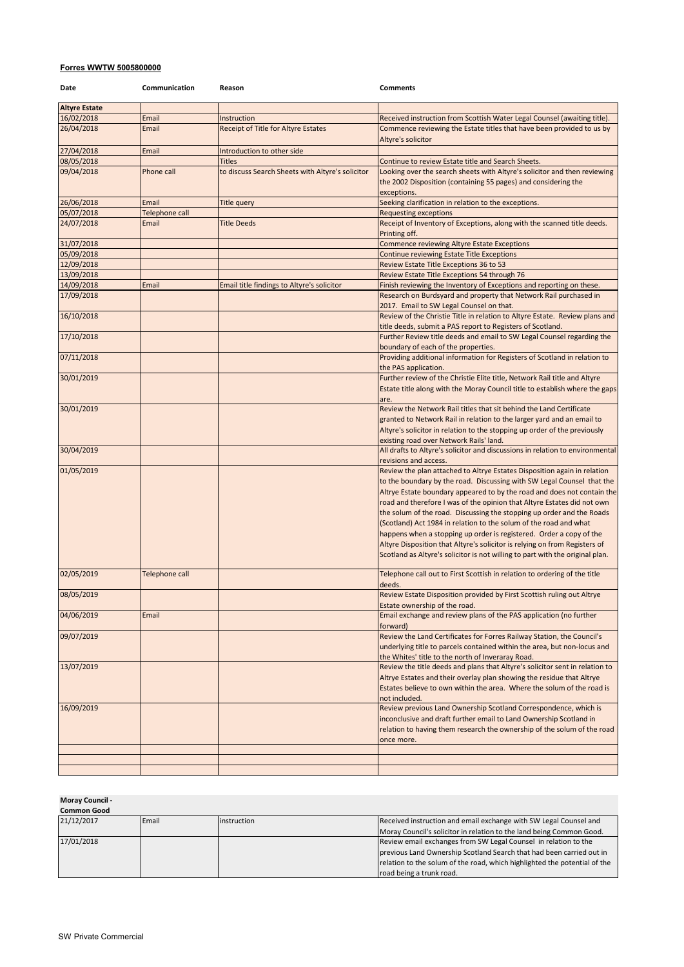## **Forres WWTW 5005800000**

| Date                 | Communication  | Reason                                           | <b>Comments</b>                                                                                                                                                                                                                                                                                                                                                                                                                                                                                                                                                                                                                                                                              |
|----------------------|----------------|--------------------------------------------------|----------------------------------------------------------------------------------------------------------------------------------------------------------------------------------------------------------------------------------------------------------------------------------------------------------------------------------------------------------------------------------------------------------------------------------------------------------------------------------------------------------------------------------------------------------------------------------------------------------------------------------------------------------------------------------------------|
| <b>Altyre Estate</b> |                |                                                  |                                                                                                                                                                                                                                                                                                                                                                                                                                                                                                                                                                                                                                                                                              |
| 16/02/2018           | Email          | Instruction                                      | Received instruction from Scottish Water Legal Counsel (awaiting title).                                                                                                                                                                                                                                                                                                                                                                                                                                                                                                                                                                                                                     |
| 26/04/2018           | Email          | <b>Receipt of Title for Altyre Estates</b>       | Commence reviewing the Estate titles that have been provided to us by<br>Altyre's solicitor                                                                                                                                                                                                                                                                                                                                                                                                                                                                                                                                                                                                  |
| 27/04/2018           | Email          | Introduction to other side                       |                                                                                                                                                                                                                                                                                                                                                                                                                                                                                                                                                                                                                                                                                              |
| 08/05/2018           |                | <b>Titles</b>                                    | Continue to review Estate title and Search Sheets.                                                                                                                                                                                                                                                                                                                                                                                                                                                                                                                                                                                                                                           |
| 09/04/2018           | Phone call     | to discuss Search Sheets with Altyre's solicitor | Looking over the search sheets with Altyre's solicitor and then reviewing<br>the 2002 Disposition (containing 55 pages) and considering the<br>exceptions.                                                                                                                                                                                                                                                                                                                                                                                                                                                                                                                                   |
| 26/06/2018           | Email          | Title query                                      | Seeking clarification in relation to the exceptions.                                                                                                                                                                                                                                                                                                                                                                                                                                                                                                                                                                                                                                         |
| 05/07/2018           | Telephone call |                                                  | <b>Requesting exceptions</b>                                                                                                                                                                                                                                                                                                                                                                                                                                                                                                                                                                                                                                                                 |
| 24/07/2018           | Email          | <b>Title Deeds</b>                               | Receipt of Inventory of Exceptions, along with the scanned title deeds.<br>Printing off.                                                                                                                                                                                                                                                                                                                                                                                                                                                                                                                                                                                                     |
| 31/07/2018           |                |                                                  | <b>Commence reviewing Altyre Estate Exceptions</b>                                                                                                                                                                                                                                                                                                                                                                                                                                                                                                                                                                                                                                           |
| 05/09/2018           |                |                                                  | Continue reviewing Estate Title Exceptions                                                                                                                                                                                                                                                                                                                                                                                                                                                                                                                                                                                                                                                   |
| 12/09/2018           |                |                                                  | Review Estate Title Exceptions 36 to 53                                                                                                                                                                                                                                                                                                                                                                                                                                                                                                                                                                                                                                                      |
| 13/09/2018           |                |                                                  | Review Estate Title Exceptions 54 through 76                                                                                                                                                                                                                                                                                                                                                                                                                                                                                                                                                                                                                                                 |
| 14/09/2018           | Email          | Email title findings to Altyre's solicitor       | Finish reviewing the Inventory of Exceptions and reporting on these.                                                                                                                                                                                                                                                                                                                                                                                                                                                                                                                                                                                                                         |
| 17/09/2018           |                |                                                  | Research on Burdsyard and property that Network Rail purchased in<br>2017. Email to SW Legal Counsel on that.                                                                                                                                                                                                                                                                                                                                                                                                                                                                                                                                                                                |
| 16/10/2018           |                |                                                  | Review of the Christie Title in relation to Altyre Estate. Review plans and                                                                                                                                                                                                                                                                                                                                                                                                                                                                                                                                                                                                                  |
| 17/10/2018           |                |                                                  | title deeds, submit a PAS report to Registers of Scotland.<br>Further Review title deeds and email to SW Legal Counsel regarding the                                                                                                                                                                                                                                                                                                                                                                                                                                                                                                                                                         |
|                      |                |                                                  | boundary of each of the properties.                                                                                                                                                                                                                                                                                                                                                                                                                                                                                                                                                                                                                                                          |
| 07/11/2018           |                |                                                  | Providing additional information for Registers of Scotland in relation to<br>the PAS application.                                                                                                                                                                                                                                                                                                                                                                                                                                                                                                                                                                                            |
| 30/01/2019           |                |                                                  | Further review of the Christie Elite title, Network Rail title and Altyre<br>Estate title along with the Moray Council title to establish where the gaps<br>are.                                                                                                                                                                                                                                                                                                                                                                                                                                                                                                                             |
| 30/01/2019           |                |                                                  | Review the Network Rail titles that sit behind the Land Certificate<br>granted to Network Rail in relation to the larger yard and an email to<br>Altyre's solicitor in relation to the stopping up order of the previously<br>existing road over Network Rails' land.                                                                                                                                                                                                                                                                                                                                                                                                                        |
| 30/04/2019           |                |                                                  | All drafts to Altyre's solicitor and discussions in relation to environmental<br>revisions and access.                                                                                                                                                                                                                                                                                                                                                                                                                                                                                                                                                                                       |
| 01/05/2019           |                |                                                  | Review the plan attached to Altrye Estates Disposition again in relation<br>to the boundary by the road. Discussing with SW Legal Counsel that the<br>Altrye Estate boundary appeared to by the road and does not contain the<br>road and therefore I was of the opinion that Altyre Estates did not own<br>the solum of the road. Discussing the stopping up order and the Roads<br>(Scotland) Act 1984 in relation to the solum of the road and what<br>happens when a stopping up order is registered. Order a copy of the<br>Altyre Disposition that Altyre's solicitor is relying on from Registers of<br>Scotland as Altyre's solicitor is not willing to part with the original plan. |
| 02/05/2019           | Telephone call |                                                  | Telephone call out to First Scottish in relation to ordering of the title<br>deeds.                                                                                                                                                                                                                                                                                                                                                                                                                                                                                                                                                                                                          |
| 08/05/2019           |                |                                                  | Review Estate Disposition provided by First Scottish ruling out Altrye<br>Estate ownership of the road.                                                                                                                                                                                                                                                                                                                                                                                                                                                                                                                                                                                      |
| 04/06/2019           | Email          |                                                  | Email exchange and review plans of the PAS application (no further<br>forward)                                                                                                                                                                                                                                                                                                                                                                                                                                                                                                                                                                                                               |
| 09/07/2019           |                |                                                  | Review the Land Certificates for Forres Railway Station, the Council's<br>underlying title to parcels contained within the area, but non-locus and<br>the Whites' title to the north of Inveraray Road.                                                                                                                                                                                                                                                                                                                                                                                                                                                                                      |
| 13/07/2019           |                |                                                  | Review the title deeds and plans that Altyre's solicitor sent in relation to<br>Altrye Estates and their overlay plan showing the residue that Altrye<br>Estates believe to own within the area. Where the solum of the road is<br>not included.                                                                                                                                                                                                                                                                                                                                                                                                                                             |
| 16/09/2019           |                |                                                  | Review previous Land Ownership Scotland Correspondence, which is<br>inconclusive and draft further email to Land Ownership Scotland in<br>relation to having them research the ownership of the solum of the road<br>once more.                                                                                                                                                                                                                                                                                                                                                                                                                                                              |
|                      |                |                                                  |                                                                                                                                                                                                                                                                                                                                                                                                                                                                                                                                                                                                                                                                                              |
|                      |                |                                                  |                                                                                                                                                                                                                                                                                                                                                                                                                                                                                                                                                                                                                                                                                              |
|                      |                |                                                  |                                                                                                                                                                                                                                                                                                                                                                                                                                                                                                                                                                                                                                                                                              |

**Moray Council -** 

| <b>Common Good</b> |       |             |                                                                           |  |
|--------------------|-------|-------------|---------------------------------------------------------------------------|--|
| 21/12/2017         | Email | instruction | Received instruction and email exchange with SW Legal Counsel and         |  |
|                    |       |             | Moray Council's solicitor in relation to the land being Common Good.      |  |
| 17/01/2018         |       |             | Review email exchanges from SW Legal Counsel in relation to the           |  |
|                    |       |             | previous Land Ownership Scotland Search that had been carried out in      |  |
|                    |       |             | relation to the solum of the road, which highlighted the potential of the |  |
|                    |       |             | road being a trunk road.                                                  |  |